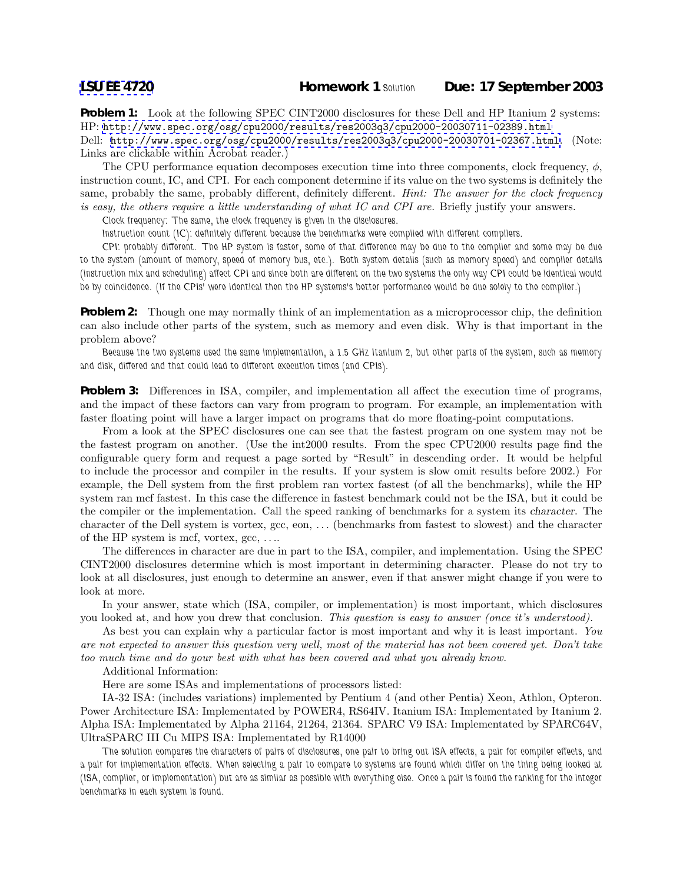**Problem 1:** Look at the following SPEC CINT2000 disclosures for these Dell and HP Itanium 2 systems: HP: <http://www.spec.org/osg/cpu2000/results/res2003q3/cpu2000-20030711-02389.html>

Dell: <http://www.spec.org/osg/cpu2000/results/res2003q3/cpu2000-20030701-02367.html>. (Note: Links are clickable within Acrobat reader.)

The CPU performance equation decomposes execution time into three components, clock frequency,  $\phi$ , instruction count, IC, and CPI. For each component determine if its value on the two systems is definitely the same, probably the same, probably different, definitely different. *Hint: The answer for the clock frequency is easy, the others require a little understanding of what IC and CPI are.* Briefly justify your answers.

*Clock frequency: The same, the clock frequency is given in the disclosures.*

*Instruction count (IC): definitely different because the benchmarks were compiled with different compilers.*

*CPI: probably different. The HP system is faster, some of that difference may be due to the compiler and some may be due to the system (amount of memory, speed of memory bus, etc.). Both system details (such as memory speed) and compiler details (instruction mix and scheduling) affect CPI and since both are different on the two systems the only way CPI could be identical would be by coincidence. (If the CPIs' were identical then the HP systems's better performance would be due solely to the compiler.)*

**Problem 2:** Though one may normally think of an implementation as a microprocessor chip, the definition can also include other parts of the system, such as memory and even disk. Why is that important in the problem above?

*Because the two systems used the same implementation, a 1.5 GHz Itanium 2, but other parts of the system, such as memory and disk, differed and that could lead to different execution times (and CPIs).*

**Problem 3:** Differences in ISA, compiler, and implementation all affect the execution time of programs, and the impact of these factors can vary from program to program. For example, an implementation with faster floating point will have a larger impact on programs that do more floating-point computations.

From a look at the SPEC disclosures one can see that the fastest program on one system may not be the fastest program on another. (Use the int2000 results. From the spec CPU2000 results page find the configurable query form and request a page sorted by "Result" in descending order. It would be helpful to include the processor and compiler in the results. If your system is slow omit results before 2002.) For example, the Dell system from the first problem ran vortex fastest (of all the benchmarks), while the HP system ran mcf fastest. In this case the difference in fastest benchmark could not be the ISA, but it could be the compiler or the implementation. Call the speed ranking of benchmarks for a system its character. The character of the Dell system is vortex, gcc, eon, ... (benchmarks from fastest to slowest) and the character of the HP system is mcf, vortex, gcc, ....

The differences in character are due in part to the ISA, compiler, and implementation. Using the SPEC CINT2000 disclosures determine which is most important in determining character. Please do not try to look at all disclosures, just enough to determine an answer, even if that answer might change if you were to look at more.

In your answer, state which (ISA, compiler, or implementation) is most important, which disclosures you looked at, and how you drew that conclusion. *This question is easy to answer (once it's understood).*

As best you can explain why a particular factor is most important and why it is least important. *You are not expected to answer this question very well, most of the material has not been covered yet. Don't take too much time and do your best with what has been covered and what you already know.*

Additional Information:

Here are some ISAs and implementations of processors listed:

IA-32 ISA: (includes variations) implemented by Pentium 4 (and other Pentia) Xeon, Athlon, Opteron. Power Architecture ISA: Implementated by POWER4, RS64IV. Itanium ISA: Implementated by Itanium 2. Alpha ISA: Implementated by Alpha 21164, 21264, 21364. SPARC V9 ISA: Implementated by SPARC64V, UltraSPARC III Cu MIPS ISA: Implementated by R14000

*The solution compares the characters of pairs of disclosures, one pair to bring out ISA effects, a pair for compiler effects, and a pair for implementation effects. When selecting a pair to compare to systems are found which differ on the thing being looked at (ISA, compiler, or implementation) but are as similar as possible with everything else. Once a pair is found the ranking for the integer benchmarks in each system is found.*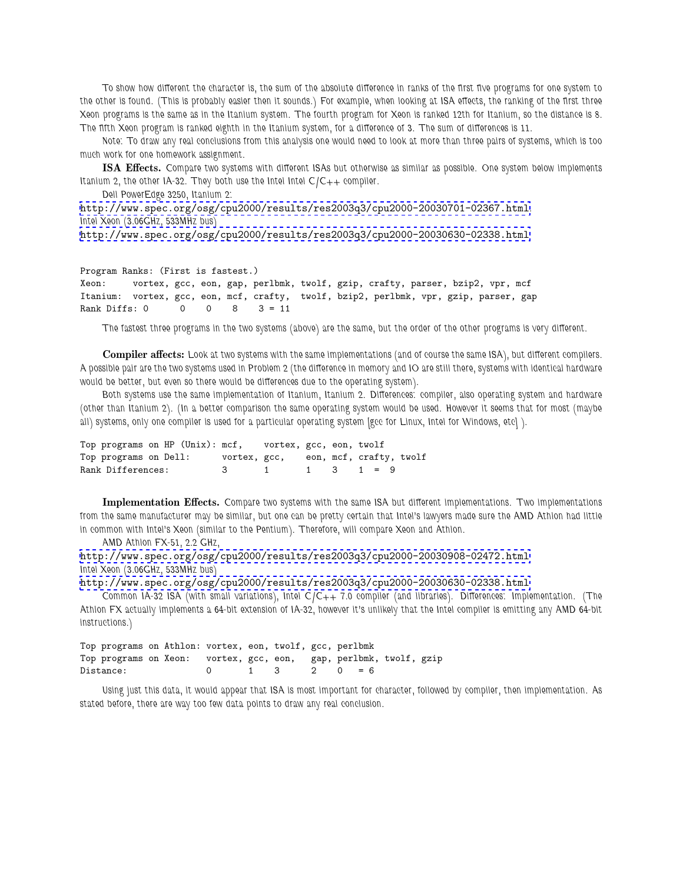*To show how different the character is, the sum of the absolute difference in ranks of the first five programs for one system to the other is found. (This is probably easier then it sounds.) For example, when looking at ISA effects, the ranking of the first three Xeon programs is the same as in the Itanium system. The fourth program for Xeon is ranked 12th for Itanium, so the distance is 8. The fifth Xeon program is ranked eighth in the Itanium system, for a difference of 3. The sum of differences is 11.*

*Note: To draw any real conclusions from this analysis one would need to look at more than three pairs of systems, which is too much work for one homework assignment.*

**ISA Effects.** *Compare two systems with different ISAs but otherwise as similar as possible. One system below implements Itanium 2, the other IA-32. They both use the Intel Intel C/C++ compiler.*

*Dell PowerEdge 3250, Itanium 2:*

```
http://www.spec.org/osg/cpu2000/results/res2003q3/cpu2000-20030701-02367.html.
Intel Xeon (3.06GHz, 533MHz bus)
http://www.spec.org/osg/cpu2000/results/res2003q3/cpu2000-20030630-02338.html
```

```
Program Ranks: (First is fastest.)
Xeon: vortex, gcc, eon, gap, perlbmk, twolf, gzip, crafty, parser, bzip2, vpr, mcf
Itanium: vortex, gcc, eon, mcf, crafty, twolf, bzip2, perlbmk, vpr, gzip, parser, gap
Rank Diffs: 0 0 0 8 3 = 11
```
*The fastest three programs in the two systems (above) are the same, but the order of the other programs is very different.*

**Compiler affects:** *Look at two systems with the same implementations (and of course the same ISA), but different compilers. A possible pair are the two systems used in Problem 2 (the difference in memory and IO are still there, systems with identical hardware would be better, but even so there would be differences due to the operating system).*

*Both systems use the same implementation of Itanium, Itanium 2. Differences: compiler, also operating system and hardware (other than Itanium 2). (In a better comparison the same operating system would be used. However it seems that for most (maybe all) systems, only one compiler is used for a particular operating system [gcc for Linux, Intel for Windows, etc] ).*

| Top programs on HP (Unix): mcf, vortex, gcc, eon, twolf |  |                                      |              |                         |  |  |  |
|---------------------------------------------------------|--|--------------------------------------|--------------|-------------------------|--|--|--|
| Top programs on Dell:                                   |  | vortex, gcc, eon, mcf, crafty, twolf |              |                         |  |  |  |
| Rank Differences:                                       |  | - 3 - 3                              | $\mathbf{1}$ | $1 \quad 3 \quad 1 = 9$ |  |  |  |

**Implementation Effects.** *Compare two systems with the same ISA but different implementations. Two implementations from the same manufacturer may be similar, but one can be pretty certain that Intel's lawyers made sure the AMD Athlon had little in common with Intel's Xeon (similar to the Pentium). Therefore, will compare Xeon and Athlon.*

*AMD Athlon FX-51, 2.2 GHz,*

```
http://www.spec.org/osg/cpu2000/results/res2003q3/cpu2000-20030908-02472.html
Intel Xeon (3.06GHz, 533MHz bus)
```
<http://www.spec.org/osg/cpu2000/results/res2003q3/cpu2000-20030630-02338.html>

*Common IA-32 ISA (with small variations), Intel C/C++ 7.0 compiler (and libraries). Differences: Implementation. (The Athlon FX actually implements a 64-bit extension of IA-32, however it's unlikely that the Intel compiler is emitting any AMD 64-bit instructions.)*

Top programs on Athlon: vortex, eon, twolf, gcc, perlbmk Top programs on Xeon: vortex, gcc, eon, gap, perlbmk, twolf, gzip Distance: 0  $1 \t3 \t2 \t0 = 6$ 

*Using just this data, it would appear that ISA is most important for character, followed by compiler, then implementation. As stated before, there are way too few data points to draw any real conclusion.*